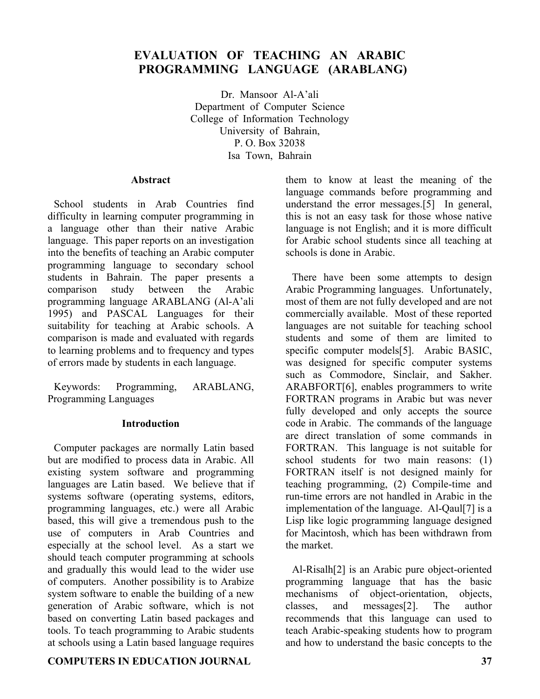# **EVALUATION OF TEACHING AN ARABIC PROGRAMMING LANGUAGE (ARABLANG)**

Dr. Mansoor Al-A'ali Department of Computer Science College of Information Technology University of Bahrain, P. O. Box 32038 Isa Town, Bahrain

#### **Abstract**

School students in Arab Countries find difficulty in learning computer programming in a language other than their native Arabic language. This paper reports on an investigation into the benefits of teaching an Arabic computer programming language to secondary school students in Bahrain. The paper presents a comparison study between the Arabic programming language ARABLANG (Al-A'ali 1995) and PASCAL Languages for their suitability for teaching at Arabic schools. A comparison is made and evaluated with regards to learning problems and to frequency and types of errors made by students in each language.

Keywords: Programming, ARABLANG, Programming Languages

# **Introduction**

Computer packages are normally Latin based but are modified to process data in Arabic. All existing system software and programming languages are Latin based. We believe that if systems software (operating systems, editors, programming languages, etc.) were all Arabic based, this will give a tremendous push to the use of computers in Arab Countries and especially at the school level. As a start we should teach computer programming at schools and gradually this would lead to the wider use of computers. Another possibility is to Arabize system software to enable the building of a new generation of Arabic software, which is not based on converting Latin based packages and tools. To teach programming to Arabic students at schools using a Latin based language requires

# **COMPUTERS IN EDUCATION JOURNAL 37**

them to know at least the meaning of the language commands before programming and understand the error messages.[5] In general, this is not an easy task for those whose native language is not English; and it is more difficult for Arabic school students since all teaching at schools is done in Arabic.

There have been some attempts to design Arabic Programming languages. Unfortunately, most of them are not fully developed and are not commercially available. Most of these reported languages are not suitable for teaching school students and some of them are limited to specific computer models[5]. Arabic BASIC, was designed for specific computer systems such as Commodore, Sinclair, and Sakher. ARABFORT[6], enables programmers to write FORTRAN programs in Arabic but was never fully developed and only accepts the source code in Arabic. The commands of the language are direct translation of some commands in FORTRAN. This language is not suitable for school students for two main reasons: (1) FORTRAN itself is not designed mainly for teaching programming, (2) Compile-time and run-time errors are not handled in Arabic in the implementation of the language. Al-Qaul[7] is a Lisp like logic programming language designed for Macintosh, which has been withdrawn from the market.

Al-Risalh[2] is an Arabic pure object-oriented programming language that has the basic mechanisms of object-orientation, objects, classes, and messages[2]. The author recommends that this language can used to teach Arabic-speaking students how to program and how to understand the basic concepts to the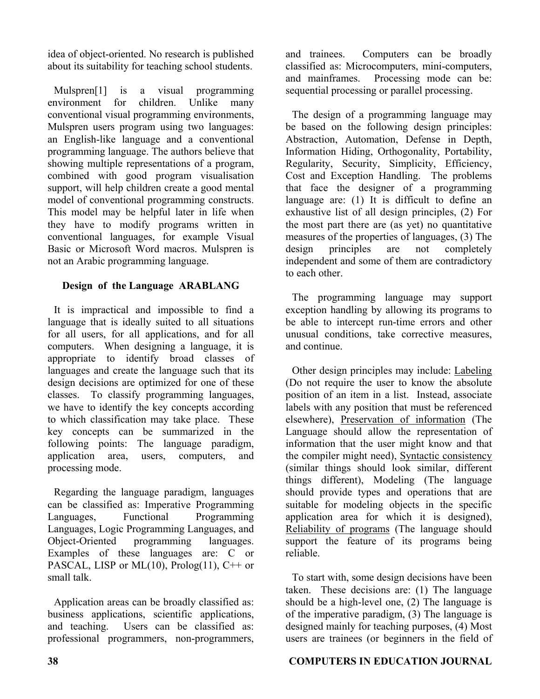idea of object-oriented. No research is published about its suitability for teaching school students.

Mulspren[1] is a visual programming environment for children. Unlike many conventional visual programming environments, Mulspren users program using two languages: an English-like language and a conventional programming language. The authors believe that showing multiple representations of a program, combined with good program visualisation support, will help children create a good mental model of conventional programming constructs. This model may be helpful later in life when they have to modify programs written in conventional languages, for example Visual Basic or Microsoft Word macros. Mulspren is not an Arabic programming language.

# **Design of the Language ARABLANG**

It is impractical and impossible to find a language that is ideally suited to all situations for all users, for all applications, and for all computers. When designing a language, it is appropriate to identify broad classes of languages and create the language such that its design decisions are optimized for one of these classes. To classify programming languages, we have to identify the key concepts according to which classification may take place. These key concepts can be summarized in the following points: The language paradigm, application area, users, computers, and processing mode.

Regarding the language paradigm, languages can be classified as: Imperative Programming Languages, Functional Programming Languages, Logic Programming Languages, and Object-Oriented programming languages. Examples of these languages are: C or PASCAL, LISP or ML $(10)$ , Prolog $(11)$ , C<sup>++</sup> or small talk.

Application areas can be broadly classified as: business applications, scientific applications, and teaching. Users can be classified as: professional programmers, non-programmers,

and trainees. Computers can be broadly classified as: Microcomputers, mini-computers, and mainframes. Processing mode can be: sequential processing or parallel processing.

The design of a programming language may be based on the following design principles: Abstraction, Automation, Defense in Depth, Information Hiding, Orthogonality, Portability, Regularity, Security, Simplicity, Efficiency, Cost and Exception Handling. The problems that face the designer of a programming language are: (1) It is difficult to define an exhaustive list of all design principles, (2) For the most part there are (as yet) no quantitative measures of the properties of languages, (3) The design principles are not completely independent and some of them are contradictory to each other.

The programming language may support exception handling by allowing its programs to be able to intercept run-time errors and other unusual conditions, take corrective measures, and continue.

Other design principles may include: Labeling (Do not require the user to know the absolute position of an item in a list. Instead, associate labels with any position that must be referenced elsewhere), Preservation of information (The Language should allow the representation of information that the user might know and that the compiler might need), Syntactic consistency (similar things should look similar, different things different), Modeling (The language should provide types and operations that are suitable for modeling objects in the specific application area for which it is designed), Reliability of programs (The language should support the feature of its programs being reliable.

To start with, some design decisions have been taken. These decisions are: (1) The language should be a high-level one, (2) The language is of the imperative paradigm, (3) The language is designed mainly for teaching purposes, (4) Most users are trainees (or beginners in the field of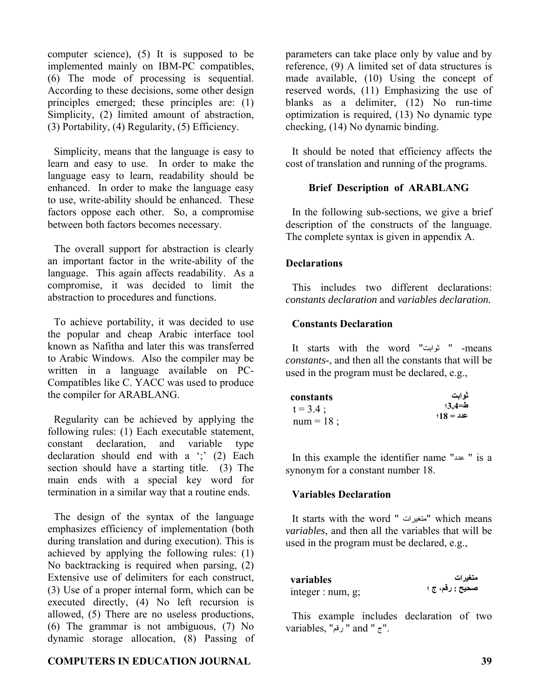computer science), (5) It is supposed to be implemented mainly on IBM-PC compatibles, (6) The mode of processing is sequential. According to these decisions, some other design principles emerged; these principles are: (1) Simplicity, (2) limited amount of abstraction, (3) Portability, (4) Regularity, (5) Efficiency.

Simplicity, means that the language is easy to learn and easy to use. In order to make the language easy to learn, readability should be enhanced. In order to make the language easy to use, write-ability should be enhanced. These factors oppose each other. So, a compromise between both factors becomes necessary.

The overall support for abstraction is clearly an important factor in the write-ability of the language. This again affects readability. As a compromise, it was decided to limit the abstraction to procedures and functions.

To achieve portability, it was decided to use the popular and cheap Arabic interface tool known as Nafitha and later this was transferred to Arabic Windows. Also the compiler may be written in a language available on PC-Compatibles like C. YACC was used to produce the compiler for ARABLANG.

Regularity can be achieved by applying the following rules: (1) Each executable statement, constant declaration, and variable type declaration should end with a ';' (2) Each section should have a starting title. (3) The main ends with a special key word for termination in a similar way that a routine ends.

The design of the syntax of the language emphasizes efficiency of implementation (both during translation and during execution). This is achieved by applying the following rules: (1) No backtracking is required when parsing, (2) Extensive use of delimiters for each construct, (3) Use of a proper internal form, which can be executed directly, (4) No left recursion is allowed, (5) There are no useless productions, (6) The grammar is not ambiguous, (7) No dynamic storage allocation, (8) Passing of

# **COMPUTERS IN EDUCATION JOURNAL 39**

parameters can take place only by value and by reference, (9) A limited set of data structures is made available, (10) Using the concept of reserved words, (11) Emphasizing the use of blanks as a delimiter, (12) No run-time optimization is required, (13) No dynamic type checking, (14) No dynamic binding.

It should be noted that efficiency affects the cost of translation and running of the programs.

#### **Brief Description of ARABLANG**

In the following sub-sections, we give a brief description of the constructs of the language. The complete syntax is given in appendix A.

### **Declarations**

This includes two different declarations: *constants declaration* and *variables declaration.*

#### **Constants Declaration**

It starts with the word "ثوابت " -means *constants*-, and then all the constants that will be used in the program must be declared, e.g.,

| constants    | ثوابت     |
|--------------|-----------|
| $t = 3.4$ ;  | ط=3.4؛    |
| num = $18$ ; | $48 = 32$ |
|              |           |

In this example the identifier name "عدد " is a synonym for a constant number 18.

#### **Variables Declaration**

It starts with the word " متغيرات "which means *variables*, and then all the variables that will be used in the program must be declared, e.g.,

| variables            | متغير ات        |
|----------------------|-----------------|
| integer : num, $g$ ; | صحيح : رقم، ج ؛ |

This example includes declaration of two variables, "رقم". and "  $\bar{c}$ ".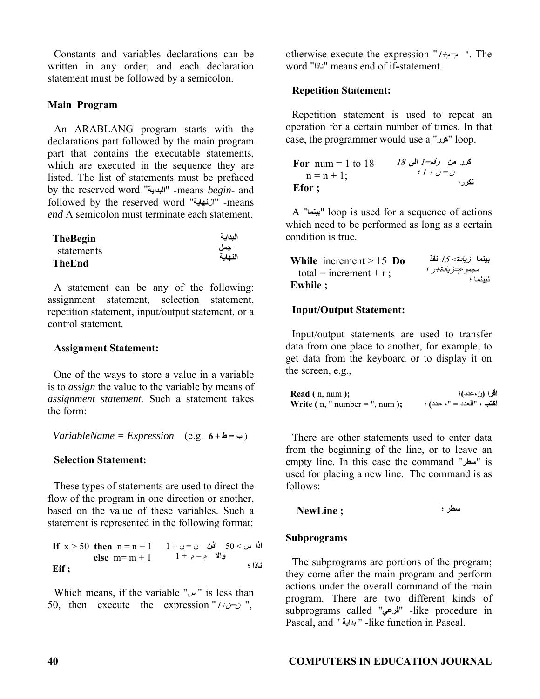Constants and variables declarations can be written in any order, and each declaration statement must be followed by a semicolon.

# **Main Program**

An ARABLANG program starts with the declarations part followed by the main program part that contains the executable statements, which are executed in the sequence they are listed. The list of statements must be prefaced by the reserved word "**البداية** "-means *begin*- and followed by the reserved word "ال**نهاية** "-means *end* A semicolon must terminate each statement.

| <b>TheBegin</b> | البداية |
|-----------------|---------|
| statements      | جمل     |
| <b>TheEnd</b>   | النهاية |

A statement can be any of the following: assignment statement, selection statement, repetition statement, input/output statement, or a control statement.

# **Assignment Statement:**

One of the ways to store a value in a variable is to *assign* the value to the variable by means of *assignment statement.* Such a statement takes the form:

 $VariableName = Expression$  (e.g.  $6 + \Delta = \rightarrow$ )

# **Selection Statement:**

These types of statements are used to direct the flow of the program in one direction or another, based on the value of these variables. Such a statement is represented in the following format:

**If** x > 50 **then** n = n + 1 **اذا** س > 50 **اذن** ن = ن + 1 **else** m= m + 1 **والا** م = م + 1 **Eif ; ناذا ؛**

Which means, if the variable " $w$ " is less than 50, then execute the expression  $1+i\infty$ ",

otherwise execute the expression " $1+\rightarrow$  ". The word "ناذا "means end of if**-**statement.

### **Repetition Statement:**

Repetition statement is used to repeat an operation for a certain number of times. In that case, the programmer would use a "**آرر** "loop.

 **For** num = 1 to 18 n = n + 1;  **Efor ; آرر من** رقم=1 **الى** <sup>18</sup> <sup>ن</sup> <sup>=</sup><sup>ن</sup> + 1 ؛ **نكرر؛**

A "**بينما** "loop is used for a sequence of actions which need to be performed as long as a certain condition is true.

| While increment $> 15$ Do | بينما <i>زيادة&gt; 15 ن</i> فذ |
|---------------------------|--------------------------------|
| total = increment + r;    | مجموع=زيادة+ر ؛                |
| <b>Ewhile ;</b>           | نبينما ؛                       |

# **Input/Output Statement:**

Input/output statements are used to transfer data from one place to another, for example, to get data from the keyboard or to display it on the screen, e.g.,

| <b>Read</b> $(n, num)$ ;              | اقرا (ن،عدد)؛             |
|---------------------------------------|---------------------------|
| <b>Write</b> $(n, "number = ", num);$ | اكتب ، "العدد = "، عدد) ؛ |

There are other statements used to enter data from the beginning of the line, or to leave an empty line. In this case the command "سطر" is used for placing a new line. The command is as follows:

**سطر ؛ ; NewLine**

#### **Subprograms**

The subprograms are portions of the program; they come after the main program and perform actions under the overall command of the main program. There are two different kinds of subprograms called "**فرعي** "-like procedure in Pascal, and " **بداية** " -like function in Pascal.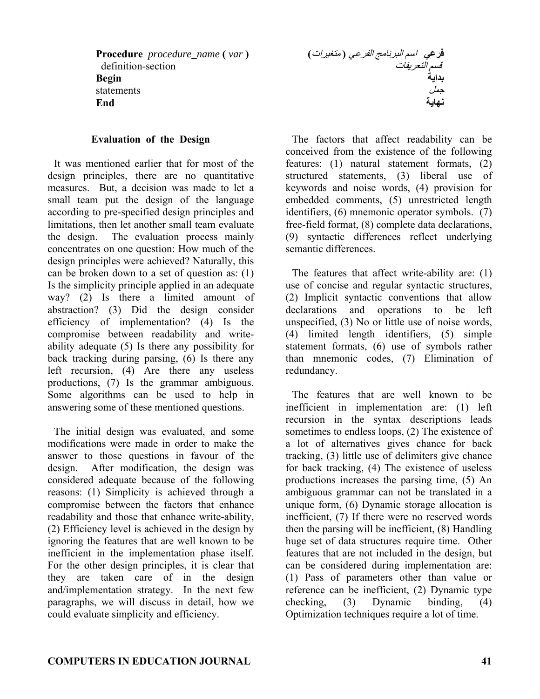**Procedure** *procedure\_name* **(** *var* **)** definition-section **Begin**  statements **End**

#### **Evaluation of the Design**

It was mentioned earlier that for most of the design principles, there are no quantitative measures. But, a decision was made to let a small team put the design of the language according to pre-specified design principles and limitations, then let another small team evaluate the design. The evaluation process mainly concentrates on one question: How much of the design principles were achieved? Naturally, this can be broken down to a set of question as: (1) Is the simplicity principle applied in an adequate way? (2) Is there a limited amount of abstraction? (3) Did the design consider efficiency of implementation? (4) Is the compromise between readability and writeability adequate (5) Is there any possibility for back tracking during parsing, (6) Is there any left recursion, (4) Are there any useless productions, (7) Is the grammar ambiguous. Some algorithms can be used to help in answering some of these mentioned questions.

The initial design was evaluated, and some modifications were made in order to make the answer to those questions in favour of the design. After modification, the design was considered adequate because of the following reasons: (1) Simplicity is achieved through a compromise between the factors that enhance readability and those that enhance write-ability, (2) Efficiency level is achieved in the design by ignoring the features that are well known to be inefficient in the implementation phase itself. For the other design principles, it is clear that they are taken care of in the design and/implementation strategy. In the next few paragraphs, we will discuss in detail, how we could evaluate simplicity and efficiency.

**فرعي** اسم البرنامج الفرعي **(** متغيرات**)** قسم التعريفات **بداية**  جمل **نهاية**

The factors that affect readability can be conceived from the existence of the following features: (1) natural statement formats, (2) structured statements, (3) liberal use of keywords and noise words, (4) provision for embedded comments, (5) unrestricted length identifiers, (6) mnemonic operator symbols. (7) free-field format, (8) complete data declarations, (9) syntactic differences reflect underlying semantic differences.

The features that affect write-ability are: (1) use of concise and regular syntactic structures, (2) Implicit syntactic conventions that allow declarations and operations to be left unspecified, (3) No or little use of noise words, (4) limited length identifiers, (5) simple statement formats, (6) use of symbols rather than mnemonic codes, (7) Elimination of redundancy.

The features that are well known to be inefficient in implementation are: (1) left recursion in the syntax descriptions leads sometimes to endless loops, (2) The existence of a lot of alternatives gives chance for back tracking, (3) little use of delimiters give chance for back tracking, (4) The existence of useless productions increases the parsing time, (5) An ambiguous grammar can not be translated in a unique form, (6) Dynamic storage allocation is inefficient, (7) If there were no reserved words then the parsing will be inefficient, (8) Handling huge set of data structures require time. Other features that are not included in the design, but can be considered during implementation are: (1) Pass of parameters other than value or reference can be inefficient, (2) Dynamic type checking, (3) Dynamic binding, (4) Optimization techniques require a lot of time.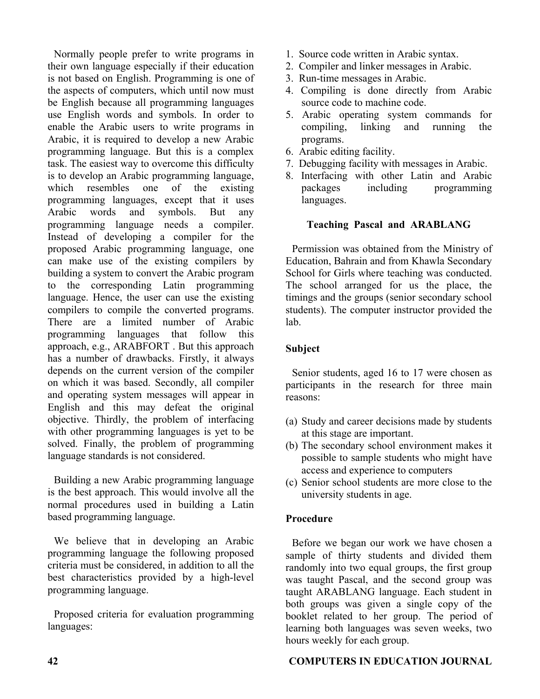Normally people prefer to write programs in their own language especially if their education is not based on English. Programming is one of the aspects of computers, which until now must be English because all programming languages use English words and symbols. In order to enable the Arabic users to write programs in Arabic, it is required to develop a new Arabic programming language. But this is a complex task. The easiest way to overcome this difficulty is to develop an Arabic programming language, which resembles one of the existing programming languages, except that it uses Arabic words and symbols. But any programming language needs a compiler. Instead of developing a compiler for the proposed Arabic programming language, one can make use of the existing compilers by building a system to convert the Arabic program to the corresponding Latin programming language. Hence, the user can use the existing compilers to compile the converted programs. There are a limited number of Arabic programming languages that follow this approach, e.g., ARABFORT . But this approach has a number of drawbacks. Firstly, it always depends on the current version of the compiler on which it was based. Secondly, all compiler and operating system messages will appear in English and this may defeat the original objective. Thirdly, the problem of interfacing with other programming languages is yet to be solved. Finally, the problem of programming language standards is not considered.

Building a new Arabic programming language is the best approach. This would involve all the normal procedures used in building a Latin based programming language.

We believe that in developing an Arabic programming language the following proposed criteria must be considered, in addition to all the best characteristics provided by a high-level programming language.

Proposed criteria for evaluation programming languages:

- 1. Source code written in Arabic syntax.
- 2. Compiler and linker messages in Arabic.
- 3. Run-time messages in Arabic.
- 4. Compiling is done directly from Arabic source code to machine code.
- 5. Arabic operating system commands for compiling, linking and running the programs.
- 6. Arabic editing facility.
- 7. Debugging facility with messages in Arabic.
- 8. Interfacing with other Latin and Arabic packages including programming languages.

### **Teaching Pascal and ARABLANG**

Permission was obtained from the Ministry of Education, Bahrain and from Khawla Secondary School for Girls where teaching was conducted. The school arranged for us the place, the timings and the groups (senior secondary school students). The computer instructor provided the lab.

#### **Subject**

Senior students, aged 16 to 17 were chosen as participants in the research for three main reasons:

- (a) Study and career decisions made by students at this stage are important.
- (b) The secondary school environment makes it possible to sample students who might have access and experience to computers
- (c) Senior school students are more close to the university students in age.

# **Procedure**

Before we began our work we have chosen a sample of thirty students and divided them randomly into two equal groups, the first group was taught Pascal, and the second group was taught ARABLANG language. Each student in both groups was given a single copy of the booklet related to her group. The period of learning both languages was seven weeks, two hours weekly for each group.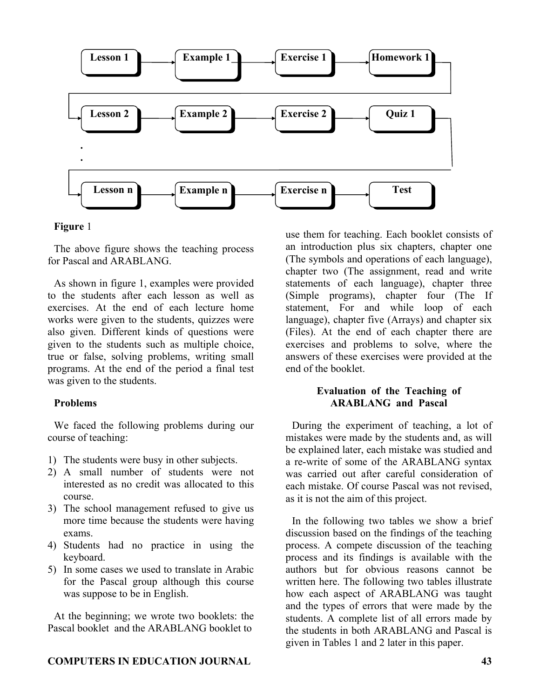

#### **Figure** <sup>1</sup>

The above figure shows the teaching process for Pascal and ARABLANG.

As shown in figure 1, examples were provided to the students after each lesson as well as exercises. At the end of each lecture home works were given to the students, quizzes were also given. Different kinds of questions were given to the students such as multiple choice, true or false, solving problems, writing small programs. At the end of the period a final test was given to the students.

# **Problems**

We faced the following problems during our course of teaching:

- 1) The students were busy in other subjects.
- 2) A small number of students were not interested as no credit was allocated to this course.
- 3) The school management refused to give us more time because the students were having exams.
- 4) Students had no practice in using the keyboard.
- 5) In some cases we used to translate in Arabic for the Pascal group although this course was suppose to be in English.

At the beginning; we wrote two booklets: the Pascal booklet and the ARABLANG booklet to

**COMPUTERS IN EDUCATION JOURNAL 43** 

use them for teaching. Each booklet consists of an introduction plus six chapters, chapter one (The symbols and operations of each language), chapter two (The assignment, read and write statements of each language), chapter three (Simple programs), chapter four (The If statement, For and while loop of each language), chapter five (Arrays) and chapter six (Files). At the end of each chapter there are exercises and problems to solve, where the answers of these exercises were provided at the end of the booklet.

# **Evaluation of the Teaching of ARABLANG and Pascal**

During the experiment of teaching, a lot of mistakes were made by the students and, as will be explained later, each mistake was studied and a re-write of some of the ARABLANG syntax was carried out after careful consideration of each mistake. Of course Pascal was not revised, as it is not the aim of this project.

In the following two tables we show a brief discussion based on the findings of the teaching process. A compete discussion of the teaching process and its findings is available with the authors but for obvious reasons cannot be written here. The following two tables illustrate how each aspect of ARABLANG was taught and the types of errors that were made by the students. A complete list of all errors made by the students in both ARABLANG and Pascal is given in Tables 1 and 2 later in this paper.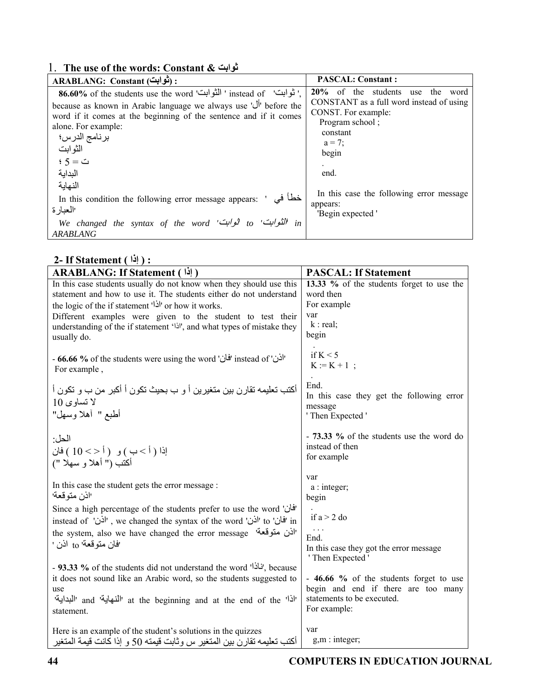# 1. **The use of the words: Constant & ثوابت**

| : (تُوابِت) ARABLANG: Constant                                     | <b>PASCAL: Constant:</b>                 |
|--------------------------------------------------------------------|------------------------------------------|
| 86.60% of the students use the word 'الثوابت' instead of 'توابت' . | 20% of the students                      |
| because as known in Arabic language we always use 'أل' before the  | the                                      |
| word if it comes at the beginning of the sentence and if it comes  | use                                      |
| alone. For example:                                                | word                                     |
| برنامج الدرس؛                                                      | CONSTANT as a full word instead of using |
| الثو ابت                                                           | CONST. For example:                      |
| $\cdot$ ث $=5$                                                     | Program school;                          |
| البدابة                                                            | constant                                 |
| النهابة                                                            | $a = 7$ ;                                |
| خطأ في                                                             | begin                                    |
| In this condition the following error message appears: '           | end.                                     |
| االعبارة                                                           | In this case the following error message |
| We changed the syntax of the word 'شوابت' to 'tin                  | appears:                                 |
| <b>ARABLANG</b>                                                    | 'Begin expected '                        |

# **2- If Statement ( إذا ( :**

| ARABLANG: If Statement ( إذا)                                          | <b>PASCAL: If Statement</b>               |
|------------------------------------------------------------------------|-------------------------------------------|
| In this case students usually do not know when they should use this    | 13.33 % of the students forget to use the |
| statement and how to use it. The students either do not understand     | word then                                 |
| the logic of the if statement 'أذا' or how it works.                   | For example                               |
| Different examples were given to the student to test their             | var                                       |
| understanding of the if statement 'li', and what types of mistake they | $k:$ real;                                |
| usually do.                                                            | begin                                     |
|                                                                        | if $K < 5$                                |
| - 66.66 % of the students were using the word 'فَان' instead of '      | $K := K + 1$ ;                            |
| For example,                                                           |                                           |
| أكتب تعليمه تقارن بين متغيرين أ و ب بحيث تكون أ أكبر من ب و تكون أ     | End.                                      |
| لا تساوى 10                                                            | In this case they get the following error |
|                                                                        | message                                   |
| أطبع " أهلا وسهل"                                                      | ' Then Expected '                         |
| الحل·                                                                  | - 73.33 % of the students use the word do |
|                                                                        | instead of then                           |
| إذا ( أ > ب ) و  ( أ < > 10 ) فان                                      | for example                               |
| أكتب (" أهلا و سهلا ")                                                 |                                           |
|                                                                        | var                                       |
| In this case the student gets the error message :                      | a : integer;                              |
| ااذن متو قعة'                                                          | begin                                     |
| Since a high percentage of the students prefer to use the word 'فان'   | if $a > 2$ do                             |
| in 'فان' to 'اذن' we changed the syntax of the word 'اذن' to 'n '      |                                           |
| the system, also we have changed the error message 'أذن متوقعة'        | $\cdots$<br>End.                          |
| 'فان متوقعة' to اذن '                                                  | In this case they got the error message   |
|                                                                        | 'Then Expected'                           |
| - 93.33 % of the students did not understand the word 'iki, because    |                                           |
| it does not sound like an Arabic word, so the students suggested to    | - 46.66 % of the students forget to use   |
| use                                                                    | begin and end if there are too many       |
| 'اذا' and 'المنهاية' at the beginning and at the end of the 'المنداية' | statements to be executed.                |
| statement.                                                             | For example:                              |
| Here is an example of the student's solutions in the quizzes           | var                                       |
| أكتب تعليمه تقارن بين المتغير س وثابت قيمته 50 و إذا كانت قيمة المتغير | g,m : integer;                            |
|                                                                        |                                           |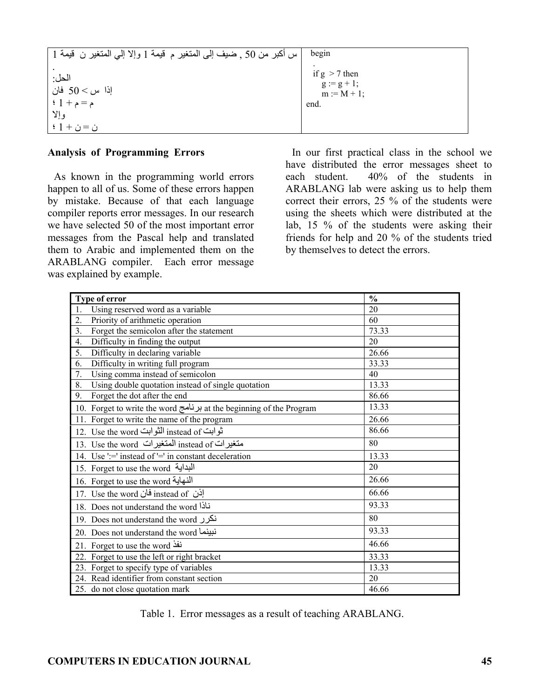| ّ س أكبر من 50 ¸ ضيف إلى المتغير م قيمة 1 وإلا إلى المتغير ن  قيمة 1  | begin                                                     |
|-----------------------------------------------------------------------|-----------------------------------------------------------|
| الحل:<br>إذا س $> 50$ فان  <br>م = م + 1 ؛  <br>وإلا ا<br>$+1+$ ن = ن | if $g > 7$ then<br>$g := g + 1;$<br>$m := M + 1;$<br>end. |

# **Analysis of Programming Errors**

As known in the programming world errors happen to all of us. Some of these errors happen by mistake. Because of that each language compiler reports error messages. In our research we have selected 50 of the most important error messages from the Pascal help and translated them to Arabic and implemented them on the ARABLANG compiler. Each error message was explained by example.

In our first practical class in the school we have distributed the error messages sheet to each student. 40% of the students in ARABLANG lab were asking us to help them correct their errors, 25 % of the students were using the sheets which were distributed at the lab, 15 % of the students were asking their friends for help and 20 % of the students tried by themselves to detect the errors.

| Type of error                                                       | $\frac{0}{0}$ |
|---------------------------------------------------------------------|---------------|
| Using reserved word as a variable<br>1.                             | 20            |
| 2.<br>Priority of arithmetic operation                              | 60            |
| 3 <sub>1</sub><br>Forget the semicolon after the statement          | 73.33         |
| Difficulty in finding the output<br>4.                              | 20            |
| 5.<br>Difficulty in declaring variable                              | 26.66         |
| Difficulty in writing full program<br>6.                            | 33.33         |
| Using comma instead of semicolon<br>7.                              | 40            |
| Using double quotation instead of single quotation<br>8.            | 13.33         |
| Forget the dot after the end<br>9.                                  | 86.66         |
| 10. Forget to write the word برنامج at the beginning of the Program | 13.33         |
| 11. Forget to write the name of the program                         | 26.66         |
| 12. Use the word الثوابت instead of ثوابت                           | 86.66         |
| 13. Use the word المتغيرات instead of المتغيرات                     | 80            |
| 14. Use ':=' instead of '=' in constant deceleration                | 13.33         |
| 15. Forget to use the word ألبداية                                  | 20            |
| 16. Forget to use the word النهاية                                  | 26.66         |
| 17. Use the word فان instead of $\sim$                              | 66.66         |
| 18. Does not understand the word i                                  | 93.33         |
| 19. Does not understand the word نكرر                               | 80            |
| 20. Does not understand the word نبينما                             | 93.33         |
| 21. Forget to use the word نفذ                                      | 46.66         |
| 22. Forget to use the left or right bracket                         | 33.33         |
| 23. Forget to specify type of variables                             | 13.33         |
| 24. Read identifier from constant section                           | 20            |
| 25. do not close quotation mark                                     | 46.66         |

Table 1. Error messages as a result of teaching ARABLANG.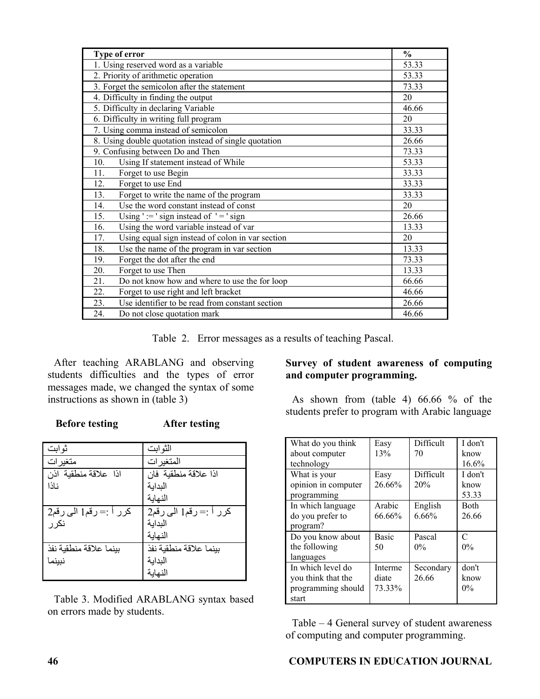| Type of error                                           | $\frac{0}{0}$ |
|---------------------------------------------------------|---------------|
| 1. Using reserved word as a variable                    | 53.33         |
| 2. Priority of arithmetic operation                     | 53.33         |
| 3. Forget the semicolon after the statement             | 73.33         |
| 4. Difficulty in finding the output                     | 20            |
| 5. Difficulty in declaring Variable                     | 46.66         |
| 6. Difficulty in writing full program                   | 20            |
| 7. Using comma instead of semicolon                     | 33.33         |
| 8. Using double quotation instead of single quotation   | 26.66         |
| 9. Confusing between Do and Then                        | 73.33         |
| Using If statement instead of While<br>10.              | 53.33         |
| Forget to use Begin<br>11.                              | 33.33         |
| 12.<br>Forget to use End                                | 33.33         |
| Forget to write the name of the program<br>13.          | 33.33         |
| Use the word constant instead of const<br>14.           | 20            |
| Using ' $:=$ ' sign instead of ' $=$ ' sign<br>15.      | 26.66         |
| Using the word variable instead of var<br>16.           | 13.33         |
| Using equal sign instead of colon in var section<br>17. | 20            |
| 18.<br>Use the name of the program in var section       | 13.33         |
| Forget the dot after the end<br>19.                     | 73.33         |
| 20.<br>Forget to use Then                               | 13.33         |
| 21.<br>Do not know how and where to use the for loop    | 66.66         |
| 22.<br>Forget to use right and left bracket             | 46.66         |
| Use identifier to be read from constant section<br>23.  | 26.66         |
| 24.<br>Do not close quotation mark                      | 46.66         |

Table 2. Error messages as a results of teaching Pascal.

After teaching ARABLANG and observing students difficulties and the types of error messages made, we changed the syntax of some instructions as shown in (table 3)

 **Before testing After testing** 

| ثوابت                  | الثوابت                |
|------------------------|------------------------|
| متغیر ات               | المتغير ات             |
| اذا علاقة منطقية اذن   | اذا علاقة منطقية فان   |
| ناذا                   | البدابة                |
|                        | النهابة                |
| كرر أ := رقم1 الى رقم2 | كرر أ :=رقم1 الى رقم2  |
| نکر ر                  | البدابة                |
|                        | النهابة                |
| ببنما علاقة منطقبة نفذ | بينما علاقة منطقية نفذ |
| نبينم                  | البدابة                |
|                        | النهابة                |

Table 3. Modified ARABLANG syntax based on errors made by students.

# **Survey of student awareness of computing and computer programming.**

As shown from (table 4) 66.66 % of the students prefer to program with Arabic language

| What do you think<br>about computer<br>technology                      | Easy<br>13%                | Difficult<br>70    | I don't<br>know<br>16.6% |
|------------------------------------------------------------------------|----------------------------|--------------------|--------------------------|
| What is your<br>opinion in computer<br>programming                     | Easy<br>26.66%             | Difficult<br>20%   | I don't<br>know<br>53.33 |
| In which language<br>do you prefer to<br>program?                      | Arabic<br>66.66%           | English<br>6.66%   | Both<br>26.66            |
| Do you know about<br>the following<br>languages                        | <b>Basic</b><br>50         | Pascal<br>$0\%$    | C<br>$0\%$               |
| In which level do<br>you think that the<br>programming should<br>start | Interme<br>diate<br>73.33% | Secondary<br>26.66 | don't<br>know<br>$0\%$   |

Table – 4 General survey of student awareness of computing and computer programming.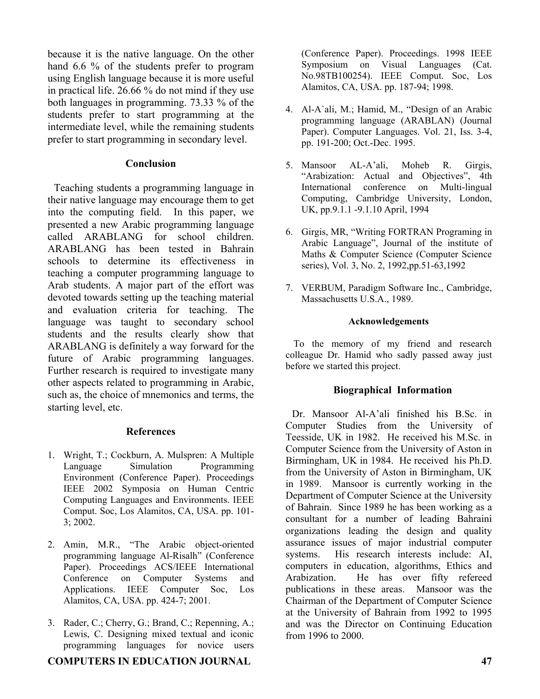because it is the native language. On the other hand 6.6 % of the students prefer to program using English language because it is more useful in practical life. 26.66 % do not mind if they use both languages in programming. 73.33 % of the students prefer to start programming at the intermediate level, while the remaining students prefer to start programming in secondary level.

#### **Conclusion**

Teaching students a programming language in their native language may encourage them to get into the computing field. In this paper, we presented a new Arabic programming language called ARABLANG for school children. ARABLANG has been tested in Bahrain schools to determine its effectiveness in teaching a computer programming language to Arab students. A major part of the effort was devoted towards setting up the teaching material and evaluation criteria for teaching. The language was taught to secondary school students and the results clearly show that ARABLANG is definitely a way forward for the future of Arabic programming languages. Further research is required to investigate many other aspects related to programming in Arabic, such as, the choice of mnemonics and terms, the starting level, etc.

# **References**

- 1. Wright, T.; Cockburn, A. Mulspren: A Multiple Language Simulation Programming Environment (Conference Paper). Proceedings IEEE 2002 Symposia on Human Centric Computing Languages and Environments. IEEE Comput. Soc, Los Alamitos, CA, USA. pp. 101- 3; 2002.
- 2. Amin, M.R., "The Arabic object-oriented programming language Al-Risalh" (Conference Paper). Proceedings ACS/IEEE International Conference on Computer Systems and Applications. IEEE Computer Soc, Los Alamitos, CA, USA. pp. 424-7; 2001.
- 3. Rader, C.; Cherry, G.; Brand, C.; Repenning, A.; Lewis, C. Designing mixed textual and iconic programming languages for novice users

# **COMPUTERS IN EDUCATION JOURNAL 47**

(Conference Paper). Proceedings. 1998 IEEE Symposium on Visual Languages (Cat. No.98TB100254). IEEE Comput. Soc, Los Alamitos, CA, USA. pp. 187-94; 1998.

- 4. Al-A`ali, M.; Hamid, M., "Design of an Arabic programming language (ARABLAN) (Journal Paper). Computer Languages. Vol. 21, Iss. 3-4, pp. 191-200; Oct.-Dec. 1995.
- 5. Mansoor AL-A'ali, Moheb R. Girgis, "Arabization: Actual and Objectives", 4th International conference on Multi-lingual Computing, Cambridge University, London, UK, pp.9.1.1 -9.1.10 April, 1994
- 6. Girgis, MR, "Writing FORTRAN Programing in Arabic Language", Journal of the institute of Maths & Computer Science (Computer Science series), Vol. 3, No. 2, 1992,pp.51-63,1992
- 7. VERBUM, Paradigm Software Inc., Cambridge, Massachusetts U.S.A., 1989.

#### **Acknowledgements**

To the memory of my friend and research colleague Dr. Hamid who sadly passed away just before we started this project.

# **Biographical Information**

Dr. Mansoor Al-A'ali finished his B.Sc. in Computer Studies from the University of Teesside, UK in 1982. He received his M.Sc. in Computer Science from the University of Aston in Birmingham, UK in 1984. He received his Ph.D. from the University of Aston in Birmingham, UK in 1989. Mansoor is currently working in the Department of Computer Science at the University of Bahrain. Since 1989 he has been working as a consultant for a number of leading Bahraini organizations leading the design and quality assurance issues of major industrial computer systems. His research interests include: AI, computers in education, algorithms, Ethics and Arabization. He has over fifty refereed publications in these areas. Mansoor was the Chairman of the Department of Computer Science at the University of Bahrain from 1992 to 1995 and was the Director on Continuing Education from 1996 to 2000.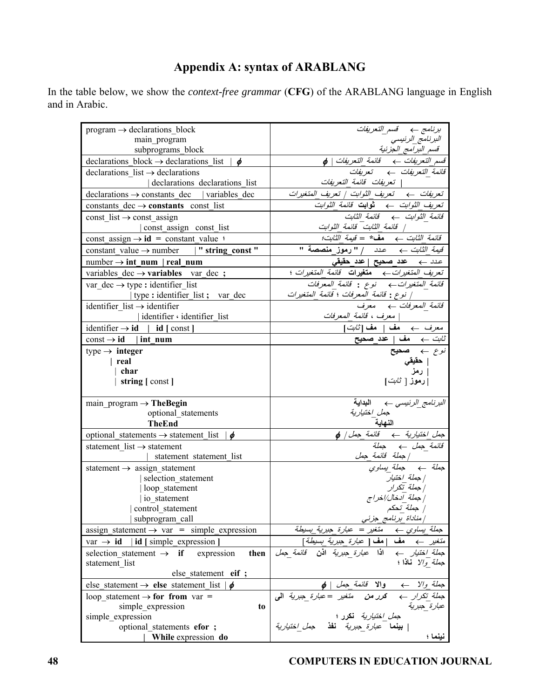# **Appendix A: syntax of ARABLANG**

In the table below, we show the *context-free grammar* (**CFG**) of the ARABLANG language in English and in Arabic.

| $program \rightarrow declarations block$                          | برنامج ← قسم التعريفات                                                                                                       |
|-------------------------------------------------------------------|------------------------------------------------------------------------------------------------------------------------------|
| main program                                                      | البرنامج_الرئيسي                                                                                                             |
| subprograms block                                                 | قسم البر امج الجزئية                                                                                                         |
| declarations block $\rightarrow$ declarations list $\phi$         |                                                                                                                              |
| declarations list $\rightarrow$ declarations                      |                                                                                                                              |
| declarations declarations list                                    | تعريفات  قائمة التعريفات                                                                                                     |
| $\alpha$ declarations $\rightarrow$ constants dec   variables dec |                                                                                                                              |
| constants dec $\rightarrow$ constants const list                  |                                                                                                                              |
| const list $\rightarrow$ const assign                             |                                                                                                                              |
| const_assign const_list                                           | قائمة الثابت قائمة الثوابت                                                                                                   |
| const_assign $\rightarrow$ <b>id</b> = constant_value :           |                                                                                                                              |
| constant_value $\rightarrow$ number   " string const "            | قي <i>مة الثابت ← عدد  </i> "رموز_منصصة "                                                                                    |
| $number \rightarrow int$ num   real num                           |                                                                                                                              |
| variables dec $\rightarrow$ variables var dec ;                   | تعريف المتغيرات به متغيرات قائمة المتغيرات ؛                                                                                 |
| var dec $\rightarrow$ type : identifier list                      | قائمة المتغيرات به للوع : قائمة المعرفات                                                                                     |
| type : identifier_list ; var_dec                                  | / نوع : قائمة المعرفات ؛ قائمة المتغيرات                                                                                     |
| identifier list $\rightarrow$ identifier                          | قائمة المعرفات به معرف                                                                                                       |
| identifier · identifier list                                      | معرف ، قائمة المعرفات                                                                                                        |
| identifier $\rightarrow id$   id [ const ]                        | معرف ہے ۔ مف   مف[ <i>ثابت</i> ]                                                                                             |
| $const \rightarrow id$   int num                                  | $\stackrel{\text{d}}{\text{d}}$ ثابت $\rightarrow \quad \text{a}$ مف $\mid \quad \text{a}$ حد                                |
| type $\rightarrow$ integer                                        | $\overrightarrow{f}$ نوع ہے۔ صحیح                                                                                            |
| $ $ real                                                          | <b>حقيقي</b><br>  رمز<br> رموز [ <i>ثابت</i> ]                                                                               |
| char                                                              |                                                                                                                              |
| string [const]                                                    |                                                                                                                              |
|                                                                   |                                                                                                                              |
| main_program $\rightarrow$ The Begin                              | البرنامج_الرئيسى ب   البداية                                                                                                 |
| optional_statements                                               | جمل اختيارية                                                                                                                 |
| <b>TheEnd</b>                                                     |                                                                                                                              |
| optional_statements $\rightarrow$ statement_list $\phi$           |                                                                                                                              |
| statement list $\rightarrow$ statement                            | قائمة ج <i>مل</i> ـــ> حملة                                                                                                  |
| statement statement list                                          |                                                                                                                              |
| statement $\rightarrow$ assign_statement                          | جملة به جملة <i>بيداوي</i>                                                                                                   |
| selection_statement                                               | جملة اختيار                                                                                                                  |
| loop statement                                                    | جملة تكرار                                                                                                                   |
| io statement                                                      | جملة آدخال/اخراج                                                                                                             |
| control_statement                                                 | / جملة _تحكم<br>/ مناداة _برنامج_جزئي                                                                                        |
| subprogram_call                                                   |                                                                                                                              |
| assign statement $\rightarrow$ var = simple expression            | ح <i>ملة يساوي ← متغير = عبارة حبرية يسيطة</i><br>م <i>تغير ← هف  هف   عبارة حبرية يسيطة</i> ]                               |
| id [simple_expression]<br>var $\rightarrow$ id                    | متغير                                                                                                                        |
| selection statement $\rightarrow$ if<br>then<br>expression        | اذا ع <i>بارة جبرية</i> اذن ق <i>ائمة جمل</i>                                                                                |
| statement list                                                    | <i>جملة والا</i> <b>ناذا</b> ؛                                                                                               |
| else statement eif ;                                              |                                                                                                                              |
| else statement $\rightarrow$ else statement list $\phi$           | ج <i>ملة والا ← والا قائمة جمل   φ</i><br>ج <i>ملة تكرار ← كرر من متغير =عبارة جبرية</i> ال <i>ى</i><br>ع <i>بارة _جبرية</i> |
| loop statement $\rightarrow$ for from var =                       |                                                                                                                              |
| simple expression<br>to<br>simple_expression                      | <i>جمل اختيارية</i> ن <b>ك</b> رر ؛                                                                                          |
| optional statements efor ;                                        | <b>بينما</b> ع <i>بارة جبرية</i> ن <b>فذ</b> ج <i>مل اختيارية</i>                                                            |
| While expression do                                               | نينما ؛                                                                                                                      |
|                                                                   |                                                                                                                              |